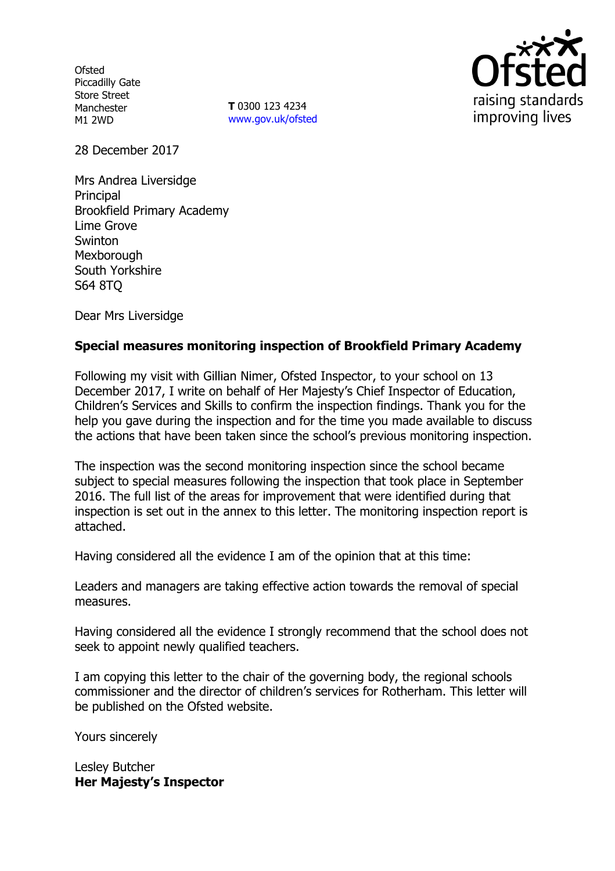**Ofsted** Piccadilly Gate Store Street Manchester M1 2WD

**T** 0300 123 4234 www.gov.uk/ofsted



28 December 2017

Mrs Andrea Liversidge Principal Brookfield Primary Academy Lime Grove **Swinton** Mexborough South Yorkshire S64 8TQ

Dear Mrs Liversidge

# **Special measures monitoring inspection of Brookfield Primary Academy**

Following my visit with Gillian Nimer, Ofsted Inspector, to your school on 13 December 2017, I write on behalf of Her Majesty's Chief Inspector of Education, Children's Services and Skills to confirm the inspection findings. Thank you for the help you gave during the inspection and for the time you made available to discuss the actions that have been taken since the school's previous monitoring inspection.

The inspection was the second monitoring inspection since the school became subject to special measures following the inspection that took place in September 2016. The full list of the areas for improvement that were identified during that inspection is set out in the annex to this letter. The monitoring inspection report is attached.

Having considered all the evidence I am of the opinion that at this time:

Leaders and managers are taking effective action towards the removal of special measures.

Having considered all the evidence I strongly recommend that the school does not seek to appoint newly qualified teachers.

I am copying this letter to the chair of the governing body, the regional schools commissioner and the director of children's services for Rotherham. This letter will be published on the Ofsted website.

Yours sincerely

Lesley Butcher **Her Majesty's Inspector**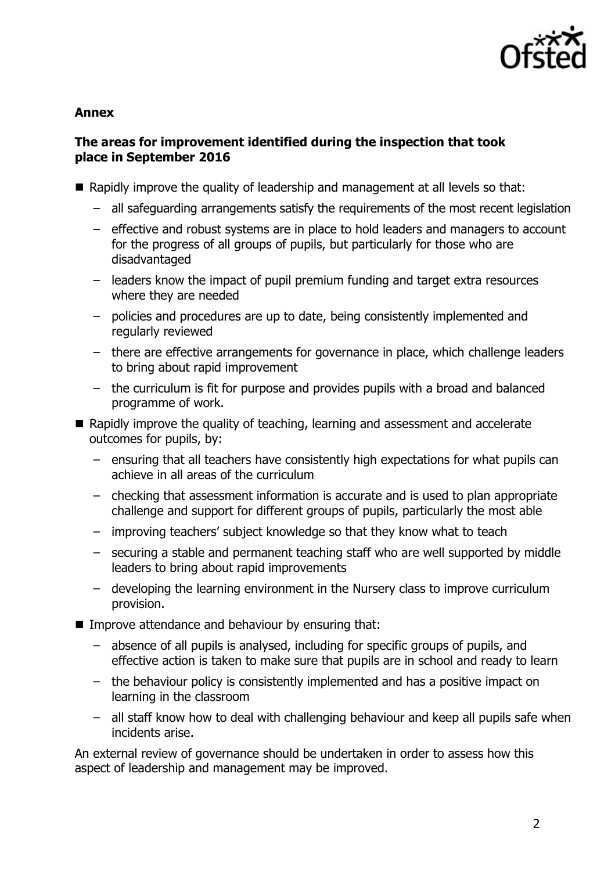

#### **Annex**

# **The areas for improvement identified during the inspection that took place in September 2016**

- Rapidly improve the quality of leadership and management at all levels so that:
	- all safeguarding arrangements satisfy the requirements of the most recent legislation
	- effective and robust systems are in place to hold leaders and managers to account for the progress of all groups of pupils, but particularly for those who are disadvantaged
	- leaders know the impact of pupil premium funding and target extra resources where they are needed
	- policies and procedures are up to date, being consistently implemented and regularly reviewed
	- there are effective arrangements for governance in place, which challenge leaders to bring about rapid improvement
	- the curriculum is fit for purpose and provides pupils with a broad and balanced programme of work.
- Rapidly improve the quality of teaching, learning and assessment and accelerate outcomes for pupils, by:
	- ensuring that all teachers have consistently high expectations for what pupils can achieve in all areas of the curriculum
	- checking that assessment information is accurate and is used to plan appropriate challenge and support for different groups of pupils, particularly the most able
	- improving teachers' subject knowledge so that they know what to teach
	- securing a stable and permanent teaching staff who are well supported by middle leaders to bring about rapid improvements
	- developing the learning environment in the Nursery class to improve curriculum provision.
- **IMPROVE Attendance and behaviour by ensuring that:** 
	- absence of all pupils is analysed, including for specific groups of pupils, and effective action is taken to make sure that pupils are in school and ready to learn
	- the behaviour policy is consistently implemented and has a positive impact on learning in the classroom
	- all staff know how to deal with challenging behaviour and keep all pupils safe when incidents arise.

An external review of governance should be undertaken in order to assess how this aspect of leadership and management may be improved.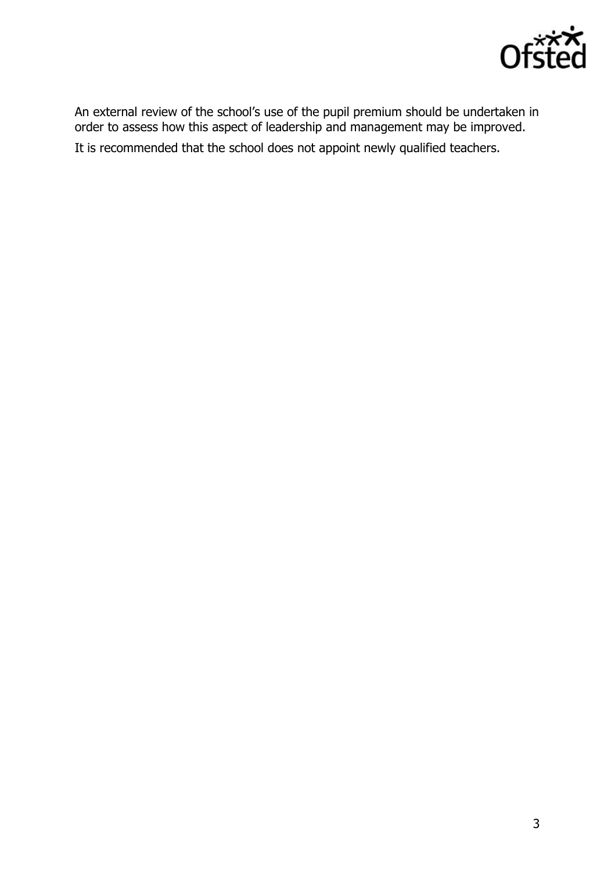

An external review of the school's use of the pupil premium should be undertaken in order to assess how this aspect of leadership and management may be improved. It is recommended that the school does not appoint newly qualified teachers.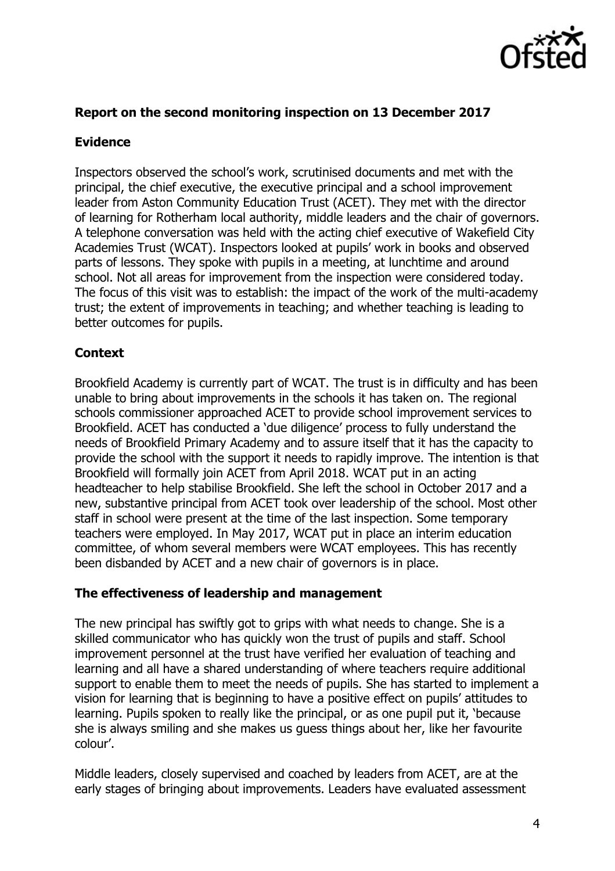

### **Report on the second monitoring inspection on 13 December 2017**

# **Evidence**

Inspectors observed the school's work, scrutinised documents and met with the principal, the chief executive, the executive principal and a school improvement leader from Aston Community Education Trust (ACET). They met with the director of learning for Rotherham local authority, middle leaders and the chair of governors. A telephone conversation was held with the acting chief executive of Wakefield City Academies Trust (WCAT). Inspectors looked at pupils' work in books and observed parts of lessons. They spoke with pupils in a meeting, at lunchtime and around school. Not all areas for improvement from the inspection were considered today. The focus of this visit was to establish: the impact of the work of the multi-academy trust; the extent of improvements in teaching; and whether teaching is leading to better outcomes for pupils.

# **Context**

Brookfield Academy is currently part of WCAT. The trust is in difficulty and has been unable to bring about improvements in the schools it has taken on. The regional schools commissioner approached ACET to provide school improvement services to Brookfield. ACET has conducted a 'due diligence' process to fully understand the needs of Brookfield Primary Academy and to assure itself that it has the capacity to provide the school with the support it needs to rapidly improve. The intention is that Brookfield will formally join ACET from April 2018. WCAT put in an acting headteacher to help stabilise Brookfield. She left the school in October 2017 and a new, substantive principal from ACET took over leadership of the school. Most other staff in school were present at the time of the last inspection. Some temporary teachers were employed. In May 2017, WCAT put in place an interim education committee, of whom several members were WCAT employees. This has recently been disbanded by ACET and a new chair of governors is in place.

### **The effectiveness of leadership and management**

The new principal has swiftly got to grips with what needs to change. She is a skilled communicator who has quickly won the trust of pupils and staff. School improvement personnel at the trust have verified her evaluation of teaching and learning and all have a shared understanding of where teachers require additional support to enable them to meet the needs of pupils. She has started to implement a vision for learning that is beginning to have a positive effect on pupils' attitudes to learning. Pupils spoken to really like the principal, or as one pupil put it, 'because she is always smiling and she makes us guess things about her, like her favourite colour'.

Middle leaders, closely supervised and coached by leaders from ACET, are at the early stages of bringing about improvements. Leaders have evaluated assessment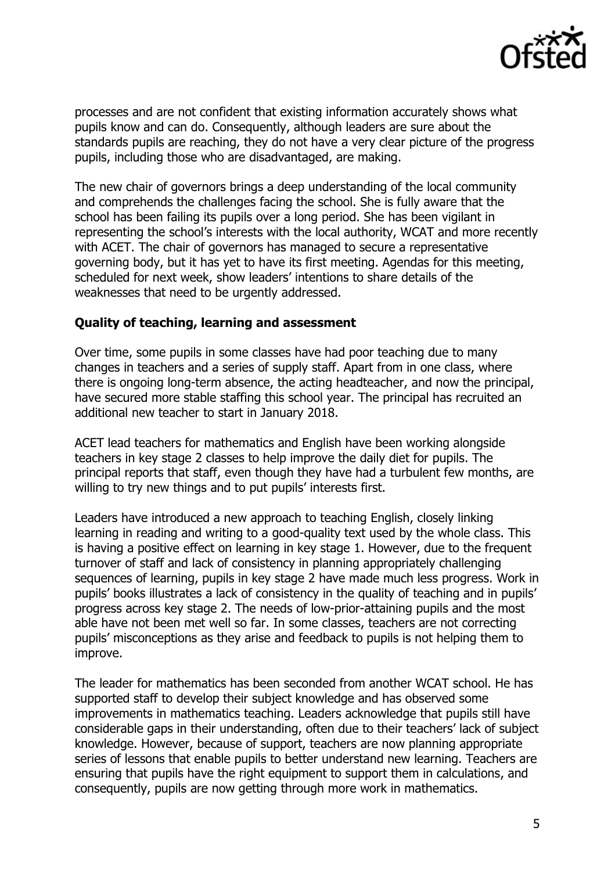

processes and are not confident that existing information accurately shows what pupils know and can do. Consequently, although leaders are sure about the standards pupils are reaching, they do not have a very clear picture of the progress pupils, including those who are disadvantaged, are making.

The new chair of governors brings a deep understanding of the local community and comprehends the challenges facing the school. She is fully aware that the school has been failing its pupils over a long period. She has been vigilant in representing the school's interests with the local authority, WCAT and more recently with ACET. The chair of governors has managed to secure a representative governing body, but it has yet to have its first meeting. Agendas for this meeting, scheduled for next week, show leaders' intentions to share details of the weaknesses that need to be urgently addressed.

#### **Quality of teaching, learning and assessment**

Over time, some pupils in some classes have had poor teaching due to many changes in teachers and a series of supply staff. Apart from in one class, where there is ongoing long-term absence, the acting headteacher, and now the principal, have secured more stable staffing this school year. The principal has recruited an additional new teacher to start in January 2018.

ACET lead teachers for mathematics and English have been working alongside teachers in key stage 2 classes to help improve the daily diet for pupils. The principal reports that staff, even though they have had a turbulent few months, are willing to try new things and to put pupils' interests first.

Leaders have introduced a new approach to teaching English, closely linking learning in reading and writing to a good-quality text used by the whole class. This is having a positive effect on learning in key stage 1. However, due to the frequent turnover of staff and lack of consistency in planning appropriately challenging sequences of learning, pupils in key stage 2 have made much less progress. Work in pupils' books illustrates a lack of consistency in the quality of teaching and in pupils' progress across key stage 2. The needs of low-prior-attaining pupils and the most able have not been met well so far. In some classes, teachers are not correcting pupils' misconceptions as they arise and feedback to pupils is not helping them to improve.

The leader for mathematics has been seconded from another WCAT school. He has supported staff to develop their subject knowledge and has observed some improvements in mathematics teaching. Leaders acknowledge that pupils still have considerable gaps in their understanding, often due to their teachers' lack of subject knowledge. However, because of support, teachers are now planning appropriate series of lessons that enable pupils to better understand new learning. Teachers are ensuring that pupils have the right equipment to support them in calculations, and consequently, pupils are now getting through more work in mathematics.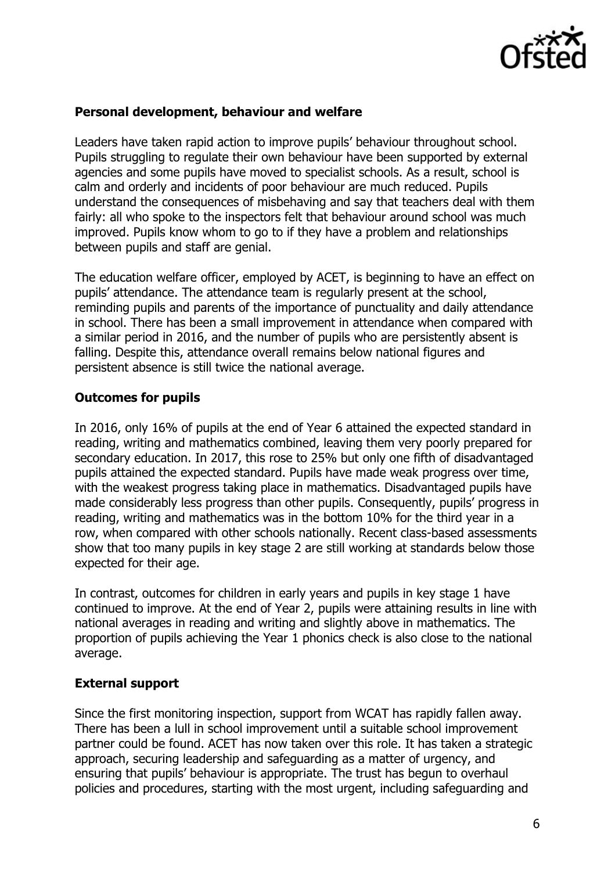

# **Personal development, behaviour and welfare**

Leaders have taken rapid action to improve pupils' behaviour throughout school. Pupils struggling to regulate their own behaviour have been supported by external agencies and some pupils have moved to specialist schools. As a result, school is calm and orderly and incidents of poor behaviour are much reduced. Pupils understand the consequences of misbehaving and say that teachers deal with them fairly: all who spoke to the inspectors felt that behaviour around school was much improved. Pupils know whom to go to if they have a problem and relationships between pupils and staff are genial.

The education welfare officer, employed by ACET, is beginning to have an effect on pupils' attendance. The attendance team is regularly present at the school, reminding pupils and parents of the importance of punctuality and daily attendance in school. There has been a small improvement in attendance when compared with a similar period in 2016, and the number of pupils who are persistently absent is falling. Despite this, attendance overall remains below national figures and persistent absence is still twice the national average.

# **Outcomes for pupils**

In 2016, only 16% of pupils at the end of Year 6 attained the expected standard in reading, writing and mathematics combined, leaving them very poorly prepared for secondary education. In 2017, this rose to 25% but only one fifth of disadvantaged pupils attained the expected standard. Pupils have made weak progress over time, with the weakest progress taking place in mathematics. Disadvantaged pupils have made considerably less progress than other pupils. Consequently, pupils' progress in reading, writing and mathematics was in the bottom 10% for the third year in a row, when compared with other schools nationally. Recent class-based assessments show that too many pupils in key stage 2 are still working at standards below those expected for their age.

In contrast, outcomes for children in early years and pupils in key stage 1 have continued to improve. At the end of Year 2, pupils were attaining results in line with national averages in reading and writing and slightly above in mathematics. The proportion of pupils achieving the Year 1 phonics check is also close to the national average.

### **External support**

Since the first monitoring inspection, support from WCAT has rapidly fallen away. There has been a lull in school improvement until a suitable school improvement partner could be found. ACET has now taken over this role. It has taken a strategic approach, securing leadership and safeguarding as a matter of urgency, and ensuring that pupils' behaviour is appropriate. The trust has begun to overhaul policies and procedures, starting with the most urgent, including safeguarding and